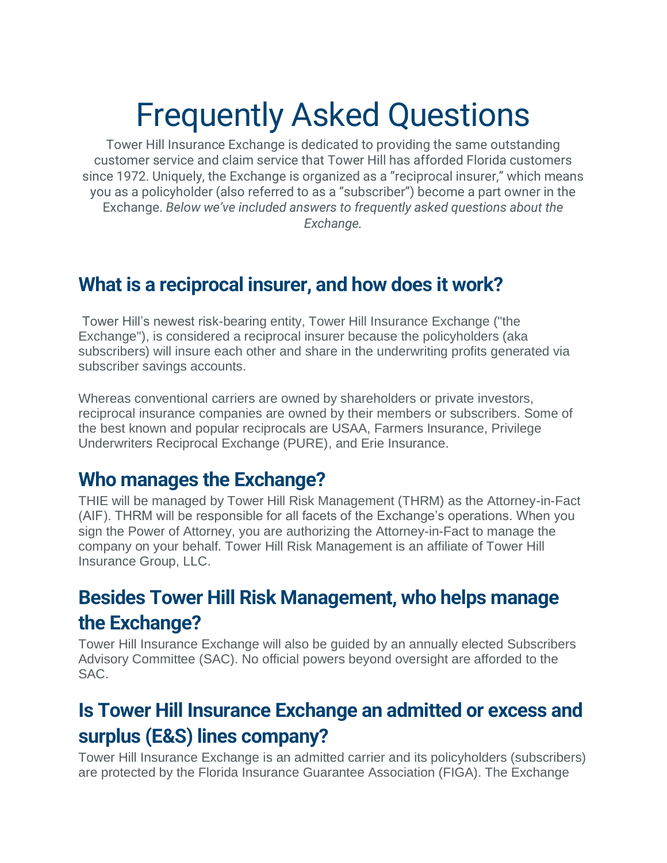# Frequently Asked Questions

Tower Hill Insurance Exchange is dedicated to providing the same outstanding customer service and claim service that Tower Hill has afforded Florida customers since 1972. Uniquely, the Exchange is organized as a "reciprocal insurer," which means you as a policyholder (also referred to as a "subscriber") become a part owner in the Exchange. *Below we've included answers to frequently asked questions about the Exchange.*

#### **What is a reciprocal insurer, and how does it work?**

Tower Hill's newest risk-bearing entity, Tower Hill Insurance Exchange ("the Exchange"), is considered a reciprocal insurer because the policyholders (aka subscribers) will insure each other and share in the underwriting profits generated via subscriber savings accounts.

Whereas conventional carriers are owned by shareholders or private investors, reciprocal insurance companies are owned by their members or subscribers. Some of the best known and popular reciprocals are USAA, Farmers Insurance, Privilege Underwriters Reciprocal Exchange (PURE), and Erie Insurance.

#### **Who manages the Exchange?**

THIE will be managed by Tower Hill Risk Management (THRM) as the Attorney-in-Fact (AIF). THRM will be responsible for all facets of the Exchange's operations. When you sign the Power of Attorney, you are authorizing the Attorney-in-Fact to manage the company on your behalf. Tower Hill Risk Management is an affiliate of Tower Hill Insurance Group, LLC.

#### **Besides Tower Hill Risk Management, who helps manage the Exchange?**

Tower Hill Insurance Exchange will also be guided by an annually elected Subscribers Advisory Committee (SAC). No official powers beyond oversight are afforded to the SAC.

#### **Is Tower Hill Insurance Exchange an admitted or excess and surplus (E&S) lines company?**

Tower Hill Insurance Exchange is an admitted carrier and its policyholders (subscribers) are protected by the Florida Insurance Guarantee Association (FIGA). The Exchange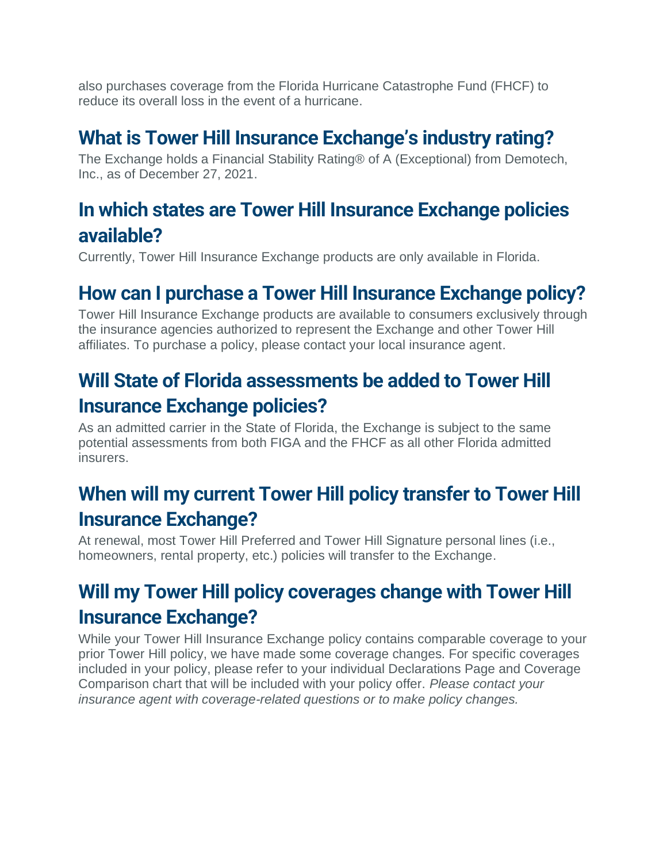also purchases coverage from the Florida Hurricane Catastrophe Fund (FHCF) to reduce its overall loss in the event of a hurricane.

### **What is Tower Hill Insurance Exchange's industry rating?**

The Exchange holds a Financial Stability Rating® of A (Exceptional) from Demotech, Inc., as of December 27, 2021.

### **In which states are Tower Hill Insurance Exchange policies available?**

Currently, Tower Hill Insurance Exchange products are only available in Florida.

## **How can I purchase a Tower Hill Insurance Exchange policy?**

Tower Hill Insurance Exchange products are available to consumers exclusively through the insurance agencies authorized to represent the Exchange and other Tower Hill affiliates. To purchase a policy, please contact your local insurance agent.

## **Will State of Florida assessments be added to Tower Hill Insurance Exchange policies?**

As an admitted carrier in the State of Florida, the Exchange is subject to the same potential assessments from both FIGA and the FHCF as all other Florida admitted insurers.

## **When will my current Tower Hill policy transfer to Tower Hill Insurance Exchange?**

At renewal, most Tower Hill Preferred and Tower Hill Signature personal lines (i.e., homeowners, rental property, etc.) policies will transfer to the Exchange.

## **Will my Tower Hill policy coverages change with Tower Hill Insurance Exchange?**

While your Tower Hill Insurance Exchange policy contains comparable coverage to your prior Tower Hill policy, we have made some coverage changes. For specific coverages included in your policy, please refer to your individual Declarations Page and Coverage Comparison chart that will be included with your policy offer. *Please contact your insurance agent with coverage-related questions or to make policy changes.*